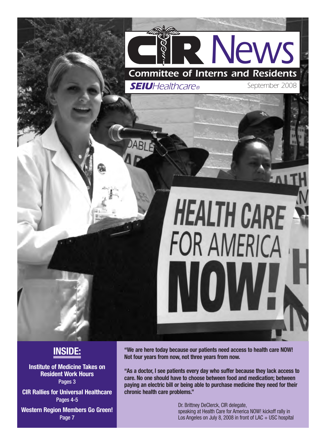

### **INSIDE:**

**Institute of Medicine Takes on Resident Work Hours** Pages 3

**CIR Rallies for Universal Healthcare** Pages 4-5

**Western Region Members Go Green!** Page 7

**"We are here today because our patients need access to health care NOW! Not four years from now, not three years from now.**

**"As a doctor, I see patients every day who suffer because they lack access to care. No one should have to choose between food and medication; between paying an electric bill or being able to purchase medicine they need for their chronic health care problems."**

> Dr. Brittney DeClerck, CIR delegate, speaking at Health Care for America NOW! kickoff rally in Los Angeles on July 8, 2008 in front of  $LAC + USC$  hospital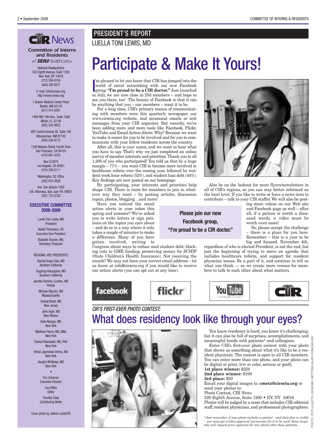#### *Committee of Interns and Residents of SEIUHealthcare®*

National Headquarters 520 Eighth Avenue, Suite 1200

New York, NY 10018 (212) 356-8100 (800) CIR-8877

E-mail: info@cirseiu.org http://www.cirseiu.org

1 Boston Medical Center Place Boston, MA 02118 (617) 414-5301

1400 NW 10th Ave., Suite 1509 Miami, FL 33136 (305) 325-8922

400 Central Avenue SE, Suite 105 Albuquerque, NM 87102 (505) 244-8775

1338 Mission Street, Fourth Floor San Francisco, CA 94103 (415) 861-5235

> Box 512075 Los Angeles, CA 90051 (310) 329-0111

Washington, DC Office (202) 872-5838

Ave. San Ignacio 1393 Urb. Altamesa, San Juan P.R. 00921 (787) 775-0720

#### **EXECUTIVE COMMITTEE 2008-2009**

Luella Toni Lewis, MD President Nailah Thompson, DO Executive Vice President Elizabeth Burpee, MD, Secretary-Treasurer

#### REGIONAL VICE PRESIDENTS Rachel Kreps-Falk, MD Northern California

Suganya Karuppana, MD Southern California

Janetta Dominic Cureton, MD Florida

> Michael Mazzini, MD **Massachusetts**

Snehal Bhatt, MD New Jersey

John Ingle, MD New Mexico

Kate Aberger, MD New York

Matthew Harris, MD, MBA New York

Farbod Raiszadeh, MD, PhD New York

Vishal Jagmohan Verma, MD New York

Vaughn Whittaker, MD New York •

> Eric Scherzer Executive Director Cara Metz **Editor** Timothy Foley

Contributing Writer

Cover photo by Jollene Levid/CIR

#### PRESIDENT'S REPORT **ENR News** LUELLA TONI LEWIS, MD

### Participate & Make It Yours!

I'm pleased to let you know that CIR has jumped into the<br>world of social networking with our new Facebook<br>group: **"I'm proud to be a CIR doctor."** Just launched 'm pleased to let you know that CIR has jumped into the world of social networking with our new Facebook in July, we are now close to 250 members – and hope to see you there, too! The beauty of Facebook is that it can be anything that you – our members – want it to be.

For a long time, CIR's primary means of communicating with members were this quarterly newspaper, our www.cirseiu.org website, and occasional emails or text messages from your CIR organizer. But recently, we've been adding more and more tools like Facebook, Flickr, YouTube and Email Action Alerts.Why? Because we want to make it easier for you to be involved and for you to communicate with your fellow residents across the country.

After all, this is *your* union, and we want to hear what you have to say. That's why we just completed an online survey of member interests and priorities.Thank you to all 1,200 of you who participated! You told us that by a huge margin – 71% – you want CIR to become more involved in healthcare reform over the coming year, followed by resident work hour reform (52%), and student loan debt (44%). Key findings are now posted on our homepage.

By participating, your interests and priorities help shape CIR. There is room for members to join in whatever way they want – by posting articles, discussion topics, photos, blogging…and more!

Have you noticed the email action alerts in your inbox this spring and summer? We've asked you to write letters or sign petitions on the topics you care about – and do so in a way where it only takes a couple of minutes to make a difference. Many of you have gotten involved, writing to

Congress about ways to reduce med student debt; blocking cuts to GME funding, preserving money for SCHIP (State Children's Health Insurance). Not receiving the emails? We may not have your correct email address – let us know at info@cirseiu.org if you would like to receive our action alerts (you can opt out at any time).



*CIR'S FIRST-EVER PHOTO CONTEST:*

#### **Please join our new Facebook group, "I'm proud to be a CIR doctor."**

regardless of who is elected President, is not the end, but just the beginning of trying to move an agenda that includes healthcare reform, and support for resident physician issues. Be a part of it, and continue to tell us what you think  $-$  as we create more venues for members to talk to each other about what matters.





### What does residency look like through your eyes?



You know residency is hard, you know it's challenging; but it can also be full of surprises, accomplishments, and meaningful bonds with patients\* and colleagues.

Enter CIR's first-ever photo contest with your photo that shows us something about what it's like to be a resident physician. The contest is open to all CIR members. You can enter more than one photo, and your photo can be digital or print, b/w or color, serious or goofy. **1st place winner:** \$250

#### **2nd place winner:** \$100

You Tube

#### **3rd place:** \$50

Email your digital images to: **cmetz@cirseiu.org** or send your photos to:

Photo Contest, CIR News

520 Eighth Avenue, Suite 1200 • NY, NY 10018 Photos will be judged by a team that includes CIR editorial staff, resident physicians, and professional photographers.

PHOTO: (TOP) JULIETTE LEWIS/MIH; (BOTTO

HOTO:

JULIETTE LEWIS/MIH; (BOTT

M) HILARY KUNIZAKI/CIR

*\*Just remember: if your photo includes a patient – and their face is visible – you must get written approval/permission for it to be used. Some hospitals will request prior approval for any photos that show patients.*



Also be on the lookout for more flyers/newsletters in all of CIR's regions, so you can stay better informed on the local level. If you like to write or have a news item to contribute – talk to your CIR staffer.We will also be post-

ing more videos on our Web site and Facebook page as well – after all, if a picture is worth a thousand words, a video must be worth even more!

So, please accept the challenge – there is a place for you here. Remember – this is a year to be big and focused. November 4th,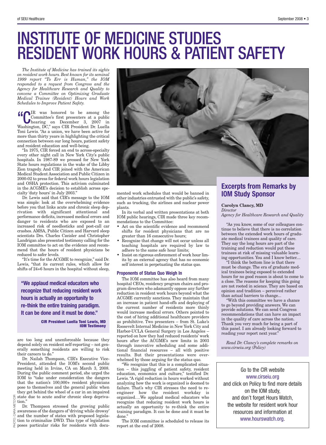### INSTITUTE OF MEDICINE STUDIES RESIDENT WORK HOURS & PATIENT SAFETY

*The Institute of Medicine has trained its sights on resident work hours. Best known for its seminal 1999 report "To Err is Human," the IOM responded to a request from Congress and the Agency for Healthcare Research and Quality to convene a Committee on Optimizing Graduate Medical Trainee (Resident) Hours and Work Schedules to Improve Patient Safety.*

**COUR** was honored to be among the<br>
Committee's first presenters at a public<br>
hearing on December 3, 2007 in<br>
Weekington DC<sup>n</sup> serve CIP President Publically Committee's first presenters at a public Washington, DC," says CIR President Dr. Luella Toni Lewis. "As a union, we have been active for more than thirty years in highlighting the critical connection between our long hours, patient safety and resident education and well-being.

"In 1975, CIR forced an end to across-specialty every other night call in New York City's public hospitals. In 1987-89 we pressed for New York State hours regulations in the wake of the Libby Zion tragedy. And CIR joined with the American Medical Student Association and Public Citizen in 2000-02 to press for federal work hours legislation and OSHA protection. This activism culminated in the ACGME's decision to establish across specialty 'duty hours' in July 2003."

Dr. Lewis said that CIR's message to the IOM was simple: look at the overwhelming evidence before you that links acute and chronic sleep deprivation with significant attentional and performance deficits, increased medical errors and danger to residents who are exposed to an increased risk of needlesticks and post-call car crashes. AMSA, Public Citizen and Harvard sleep scientists Drs. Charles Czeisler and Christopher Landrigan also presented testimony calling for the IOM committee to act on the evidence and recommend that the hours of resident physicians be reduced to safer levels.

"It's time for the ACGME to recognize," said Dr. Lewis, "that its current rules, which allow for shifts of 24+6 hours in the hospital without sleep,

**"We applaud medical educators who recognize that reducing resident work hours is actually an opportunity to re-think the entire training paradigm. It can be done and it must be done."**

> **CIR President Luella Toni Lewis, MD IOM Testimony**

are too long and unenforceable because they depend solely on resident self-reporting – not generally something residents are willing to risk their careers to do."

Dr. Nailah Thompson, CIR's Executive Vice-President, attended the IOM's second public meeting held in Irvine, CA on March 3, 2008. During the public comment period, she urged the IOM to "take under consideration the dangers that the nation's 100,000+ resident physicians pose to themselves and the general public when they get behind the wheel of a car in an impaired state due to acute and/or chronic sleep depriva-

METZ/CIR  $\frac{\sum_{i=1}^{N} \text{tion."}}{\text{Dr}}$ 

PHOTO: CARA Dr. Thompson stressed the growing public awareness of the dangers of 'driving while drowsy' and the number of states with proposed legislation to criminalize DWD. This type of legislation poses particular risks for residents with docu-



mented work schedules that would be banned in other industries entrusted with the public's safety, such as trucking, the airlines and nuclear power plants.

In its verbal and written presentations at both IOM public hearings, CIR made three key recommendations to the Committee:

- Act on the scientific evidence and recommend shifts for resident physicians that are no greater than 16 consecutive hours;
- Recognize that change will not occur unless all teaching hospitals are required by law to adhere to the same safe hour limits;
- Insist on rigorous enforcement of work hour limits by an external agency that has no economic self interest in perpetuating the status quo.

#### **Proponents of Status Quo Weigh In**

The IOM committee has also heard from many hospital CEOs, residency program chairs and program directors who adamantly oppose any further reduction in resident work hours beyond what the ACGME currently sanctions. They maintain that an increase in patient hand-offs and deploying of the current number of residents more thinly would increase medical errors. Others pointed to the cost of hiring additional healthcare providers as prohibitive. Two presenters – from St. Luke's Roosevelt Internal Medicine in New York City and Harbor-UCLA General Surgery in Los Angeles – reported on how they had reduced residents' work hours after the ACGME's new limits in 2003 through innovative scheduling and some additional financial resources – all with positive results. But their presentations were overwhelmed by those arguing for the status quo.

"We recognize that this is a complicated situation – this juggling of patient safety, resident education, economics and culture," testified Dr. Lewis."A rigid reduction in hours worked without analyzing how the work is organized is doomed to failure. That's why CIR stresses the need to reengineer how the resident workday is organized….We applaud medical educators who recognize that reducing resident work hours is actually an opportunity to re-think the entire training paradigm. It can be done and it must be done."

The IOM committee is scheduled to release its report at the end of 2008.

#### **Excerpts from Remarks by IOM Study Sponsor**

#### **Carolyn Clancy, MD**

*Director Agency for Healthcare Research and Quality*

"As you know, some of our colleagues continue to believe that there is no correlation between the extended work hours of graduate medical trainees and quality of care. They say the long hours are part of the training and reduction would put these trainees at risk of missing valuable learning opportunities. You and I know better....

"I think the bottom line is that there must be change. The era of graduate medical trainees being exposed to extended hours for no good reason is about to come to a close. The reasons for keeping this going are not rooted in science. They are based on opinion and tradition – perceived rather than actual barriers to change...

"With this committee we have a chance to go beyond providing answers. We can provide solutions. We can send Congress recommendations that can have an impact in the quality of care across the nation. Thank you very much for being a part of this panel. I am already looking forward to reading your report next year."

*Read Dr. Clancy's complete remarks on www.cirseiu.org (Policy)*

#### Go to the CIR website

www.cirseiu.org and click on Policy to find more details on the IOM study, and don't forget Hours Watch, the website for resident work hour resources and information at www.hourswatch.org.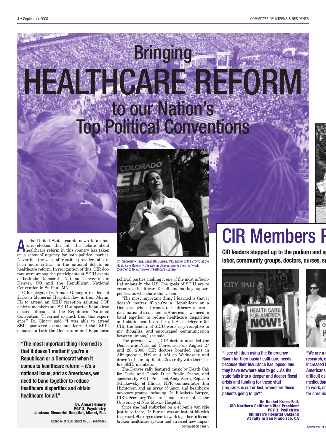# Bringing HEALTHCARE REFORM to our Nation's Top Political Conventions



**A** s the United States counts down to an historic election this fall, the debate about healthcare reform in this country has taken s the United States counts down to an historic election this fall, the debate about on a sense of urgency for both political parties. Never has the voice of frontline providers of care been more critical in the national debate on healthcare reform. In recognition of this, CIR doctors were among the participants at SEIU events at both the Democratic National Convention in Denver, CO and the Republican National Convention in St. Paul, MN.

CIR delegate Dr. Almari Ginory, a resident at Jackson Memorial Hospital, flew in from Miami, FL to attend an SEIU reception saluting GOP activist members and SEIU-supported Republican elected officials at the Republican National Convention. "I learned so much from this experience," Dr. Ginory said. "I was able to attend SEIU-sponsored events and learned that SEIU donates to both the Democratic and Republican

**"The most important thing I learned is that it doesn't matter if you're a Republican or a Democrat when it comes to healthcare reform – it's a national issue, and as Americans, we need to band together to reduce healthcare disparities and obtain healthcare for all."**

> **Dr. Almari Ginory PGY 2, Psychiatry Jackson Memorial Hospital, Miami, Fla.**

> > Attendee at SEIU Salute to GOP members

CIR Secretary-Treas. Elizabeth Burpee, MD, spoke to the crowd at the Healthcare Reform NOW rally in Denver, urging them to "work together to fix our broken healthcare system.

political parties, making it one of the most influential unions in the U.S. The goals of SEIU are to encourage healthcare for all, and so they support politicians who share this vision.

"The most important thing I learned is that it doesn't matter if you're a Republican or a Democrat when it comes to healthcare reform – it's a national issue, and as Americans, we need to band together to reduce healthcare disparities and obtain healthcare for all. As a delegate for CIR, the leaders of SEIU were very receptive to my thoughts, and encouraged communication between unions," she said.

The previous week, CIR doctors attended the Democratic National Convention on August 27 and 28, 2008. CIR doctors boarded vans in Albuquerque, NM at 4 AM on Wednesday and drove 7+ hours up Route 25 to rally with their fellow SEIU members.

The Denver rally featured music by Death Cab for Cutie and Chuck D of Public Enemy, and speeches by SEIU President Andy Stern, Rep. Jan Schakowsky of Illinois, NPR commentator Jim Hightower, and an array of union and healthcare advocacy groups including Dr. Elizabeth Burpee, CIR's Secretary-Treasurer, and a resident at the University of New Mexico Hospital.

Since she had embarked on a 450-mile van ride just to be there, Dr. Burpee was an instant hit with the crowd.She urged them to work together to fix our broken healthcare system and stressed how impor continued on page 5

# **CIR Members F**

**CIR leaders stepped up to the podium and sp labor, community groups, doctors, nurses, some property and**  $\boldsymbol{\mu}$ 



**"I see children using the Emergency Room for their basic healthcare needs because their insurance has lapsed and they have nowhere else to go…As the state falls into a deeper and deeper fiscal crisis and funding for these vital programs is cut or lost, where are these patients going to go?"**

> **Dr. Rachel Kreps-Falk CIR Northern California Vice President PGY 3, Pediatrics Children's Hospital Oakland At rally in San Francisco, CA**



**"We are a n research, e increased l Americans difficult dec medication to work, or for chronic**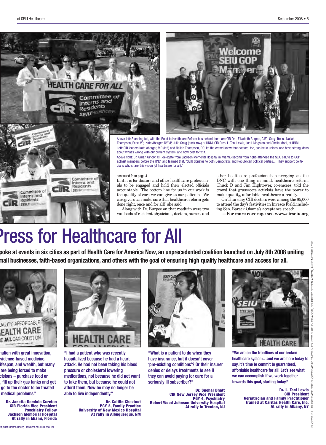



Above left: Standing tall, with the Road to Healthcare Reform bus behind them are CIR Drs. Elizabeth Burpee, CIR's Secy-Treas., Nailah Thompson, Exec. VP, Kate Aberger, NY VP, Julie Craig (back row) of UNM, CIR Pres. L. Toni Lewis, Joe Livingston and Sheila Modi, of UNM. Left: CIR leaders Kate Aberger, MD (left) and Nailah Thompson, DO, let the crowd know that doctors, too, can be in unions, and have strong ideas about what's wrong with our current system, and how best to fix it.

Above right: Dr. Almari Ginory, CIR delegate from Jackson Memorial Hospital in Miami, (second from right) attended the SEIU salute to GOP activist members before the RNC, and learned that, "SEIU donates to both Democratic and Republican political parties….They support politicians who share this vision (of healthcare for all).

tant it is for doctors and other healthcare professionals to be engaged and hold their elected officials accountable. "The bottom line for us in our work is the quality of care we can give to our patients....We caregivers can make sure that healthcare reform gets done right, once and for all!" she said.

Along with Dr. Burpee on that roadtrip were two vanloads of resident physicians, doctors, nurses, and other healthcare professionals converging on the DNC with one thing in mind: healthcare reform. Chuck D and Jim Hightower, co-emcees, told the crowd that grassroots activists have the power to make quality, affordable healthcare a reality.

OnThursday, CIR doctors were among the 85,000 to attend the day's festivities in Invesco Field, including Sen. Barack Obama's acceptance speech.

**—For more coverage see www.cirseiu.org**

# Press for Healthcare for All

poke at events in six cities as part of Health Care for America Now, an unprecedented coalition launched on July 8th 2008 uniting nall businesses, faith-based organizations, and others with the goal of ensuring high quality healthcare and access for all.



**nation with great innovation, evidence-based medicine, ifespan, and wealth, but many are being forced to make cisions – purchase food or n, fill up their gas tanks and get go to the doctor to be treated medical problems."**

**Dr. Janetta Dominic Cureton CIR Florida Vice President Psychiatry Fellow Jackson Memorial Hospital At rally in Miami, Florida**



**"I had a patient who was recently hospitalized because he had a heart attack. He had not been taking his blood pressure or cholesterol lowering medications, not because he did not want to take them, but because he could not afford them. Now he may no longer be able to live independently."**

> **Dr. Caitlin Chestnut PGY 2, Family Practice University of New Mexico Hospital At rally in Albuquerque, NM**



**"What is a patient to do when they have insurance, but it doesn't cover 'pre-existing conditions'? Or their insurer denies or delays treatments to see if they can avoid paying for care for a seriously ill subscriber?"**

**Dr. Snehal Bhatt CIR New Jersey Vice President PGY 4, Psychiatry Robert Wood Johnson University Hospital At rally in Trenton, NJ**



**"We are on the frontlines of our broken healthcare system…and we are here today to say, it's time to commit to guaranteed, affordable healthcare for all! Let's see what we can accomplish if we work together towards this goal, starting today."**

> **Dr. L. Toni Lewis CIR President Geriatrician and Family Practitioner trained at Caritas Health Care, Inc. At rally in Albany, NY**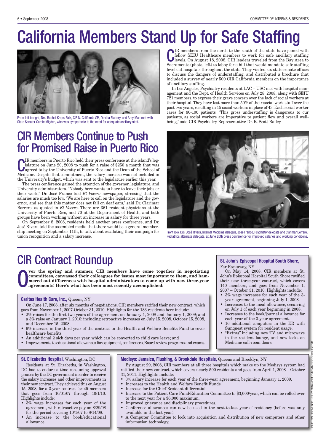## California Members Stand Up for Safe Staffing



From left to right, Drs. Rachel Kreps-Falk, CIR N. California V.P., Davida Flattery, and Amy Mao met with patients, as social workers are imperative to patient flow and State Senator Carole Migden, who was sympathetic to t State Senator Carole Migden, who was sympathetic to the need for adequate ancillary staff.

### CIR Members Continue to Push for Promised Raise in Puerto Rico

**C**IR members in Puerto Rico held their press conference at the island's leg-<br>islature on June 20, 2008 to push for a raise of \$250 a month that was<br>agreed to by the University of Puerto Rico and the Dean of the School of<br> IR members in Puerto Rico held their press conference at the island's legislature on June 20, 2008 to push for a raise of \$250 a month that was Medicine. Despite that commitment, the salary increase was not included in the University's budget, which was sent to the legislature earlier this year.

The press conference gained the attention of the governor, legislature, and University administrators. "Nobody here wants to have to leave their jobs or their work," Dr. José Franco told *El Vocero* newspaper, stressing that the salaries are much too low."We are here to call on the legislature and the governor, and see that this matter does not fall on deaf ears," said Dr. Clarimar Borrero, as quoted in *El Vocero*. There are 361 resident physicians at the University of Puerto Rico, and 70 at the Department of Health, and both groups have been working without an increase in salary for three years.

On September 8, 2008, residents held another press conference, and Dr. José Rivera told the assembled media that there would be a general membership meeting on September 11th, to talk about escalating their campaign for union recognition and a salary increase.

**C**IR members from the north to the south of the state have joined with<br>fellow SEIU Healthcare members to work for safe ancillary staffing<br>levels. On August 18, 2008, CIR leaders traveled from the Bay Area to IR members from the north to the south of the state have joined with fellow SEIU Healthcare members to work for safe ancillary staffing Sacramento (photo, left) to lobby for a bill that would mandate safe staffing levels at hospitals throughout the state. They visited six state senate offices to discuss the dangers of understaffing, and distributed a brochure that included a survey of nearly 500 CIR California members on the importance of ancillary staffing.

In Los Angeles, Psychiatry residents at LAC + USC met with hospital management and the Dept. of Health Services on July 28, 2008, along with SEIU 721 members, to express their grave concern over the lack of social workers at their hospital.They have lost more than 50% of their social work staff over the past two years, resulting in 15 social workers in place of 43. Each social worker cares for 80-100 patients. "This gross understaffing is dangerous to our patients, as social workers are imperative to patient flow and overall well-



Front row, Drs. José Rivera, Internal Medicine delegate, José Franco, Psychiatry delegate and Clarimar Borrero, Pediatrics alternate delegate, at June 20th press conference for improved salaries and working conditions.

Far Rockaway, NY

Medicine call-room doors.

**St. John's Episcopal Hospital South Shore,**

On May 14, 2008, CIR members at St. John's Episcopal Hospital South Shore ratified their new three-year contract, which covers 140 members, and goes from November 1, 2007 – October 31, 2010. Highlights include: • 3% wage increases for each year of the 3-

### CIR Contract Roundup

O **ver the spring and summer, CIR members have come together in negotiating committees, canvassed their colleagues for issues most important to them, and hammered out differences with hospital administrators to come up with new three-year agreements! Here's what has been most recently accomplished:**

#### **Caritas Health Care, Inc.,** Queens, NY

On June 17, 2008, after six months of negotiations, CIR members ratified their new contract, which goes from November 1, 2007-October 31, 2010. Highlights for the 183 residents here include:

- 2% raises for the first two years of the agreement on January 1, 2008 and January 1, 2009; and a 3% raise on January 1, 2010; including retroactive increases on July 15, 2008, October 15, 2008, and December 15, 2008.
- 6% increase in the third year of the contract to the Health and Welfare Benefits Fund to cover healthcare benefits.
- An additional 2 sick days per year, which can be converted to child care leave; and
- Improvements to educational allowances for equipment, conferences, Board review programs and exams.

#### **St. Elizabeths Hospital,** Washington, DC

Residents at St. Elizabeths, in Washington, DC had to endure a time consuming approval process by the DC governmentin order to receive the salary increases and other improvements in their new contract.They achieved this on August 15, 2008, for a 3-year contract for 45 members that goes from 10/01/07 through 10/1/10. Highlights include:

- 3% wage increases for each year of the agreement, with retroactive pay on 8/29/08 for the period covering 10/1/07 to 8/14/08.
- An increase to the book/educational allowance.

#### **Medisys: Jamaica, Flushing, & Brookdale Hospitals,** Queens and Brooklyn, NY

By August 29, 2008, CIR members at all three hospitals which make up the Medisys system had tified their new contract, which covers nearly  $500$  residents and goes from April 1,  $2008$  – October 31, 2011. Highlights include:

- 3% salary increase for each year of the three-year agreement, beginning January 1, 2009.
- Increases to the Health and Welfare Benefit Funds.
- Increase for the Chief Resident differential.
- Increase to the Patient Care Fund/Education Committee to \$3,000/year, which can be rolled over to the next year for a \$6,000 maximum.
- Improved grievance and disciplinary procedures.
- Conference allowances can now be used in the next-to-last year of residency (before was only available in the last year).
- A Computer Committee to look into acquisition and distribution of new computers and other information technology.

#### year agreement, beginning July 1, 2008. • Increases to the meal allowance, occurring on July 1 of each year beginning in 2008. • Increases to the book/journal allowance for each year of the 3-year agreement. • 16 additional computers in the ER with Sunquest system for resident usage. • "Extras" including new TV and microwave in the resident lounge, and new locks on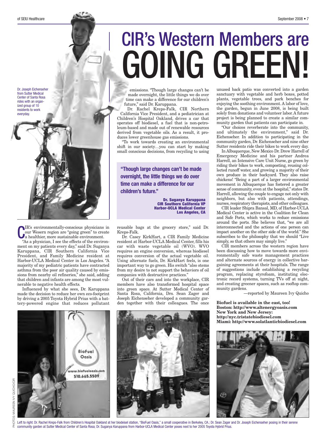Dr. Joseph Eichenseher from Sutter Medical Center of Santa Rosa rides with an organized group of 10 residents to work everyday.



**C**IR's environmentally-conscious physicians<br>
our Wesern region are "going green" to crea<br>
a healthier, more sustainable environment. IR's environmentally-conscious physicians in our Wesern region are "going green" to create

"As a physician, I see the effects of the environment on my patients every day," said Dr. Suganya Karuppana, CIR Southern California Vice President, and Family Medicine resident at Harbor-UCLA Medical Center in Los Angeles. "A majority of my pediatric patients have contracted asthma from the poor air quality caused by emissions from nearby oil refineries," she said, adding that children and infants are among the most vulnerable to negative health effects.

Influenced by what she sees, Dr. Karuppana made the decision to reduce her own eco-footprint by driving a 2005 Toyota Hybrid Prius with a battery-powered engine that reduces pollutant

# CIR's Western Members are GOING GREEN!

emissions. "Though large changes can't be made overnight, the little things we do over time can make a difference for our children's future," said Dr. Karuppana.

Dr. Rachel Kreps-Falk, CIR Northern California Vice President, and a pediatrician at Children's Hospital Oakland, drives a car that operates off biodiesel, a fuel that is non-petroleum-based and made out of renewable resources derived from vegetable oils. As a result, it produces lower greenhouse gas emissions.

"To work towards creating an environmental shift in our society…you can start by making small conscious decisions, from recycling to using

**"Though large changes can't be made overnight, the little things we do over time can make a difference for our children's future."**

> **Dr. Suganya Karuppana CIR Southern California VP Harbor-UCLA Medical Center Los Angeles, CA**

reusable bags at the grocery store," said Dr. Kreps-Falk.

Dr. Casey KirkHart, a CIR Family Medicine resident at Harbor-UCLA Medical Center, fills his car with waste vegetable oil (WVO). WVO requires an engine conversion, whereas biodiesel requires conversion of the actual vegetable oil. Using alternate fuels, Dr. KirkHart feels, is one important way to go green. His switch "also stems from my desire to not support the behaviors of oil companies with destructive practices."

Out of their cars and into the workplace, CIR members have also transformed hospital space into green space. At Sutter Medical Center of Santa Rosa, California, Drs. Sean Zager and Joseph Eichenseher developed a community garden together with their colleagues. The once unused back patio was converted into a garden sanctuary with vegetable and herb boxes, potted plants, vegetable trees, and park benches for enjoying the soothing environment. A labor of love, the garden, begun in June 2008, is being built solely from donations and volunteer labor.A future project is being planned to create a similar community garden that patients can participate in.

"Our choices reverberate into the community, and ultimately the environment," said Dr. Eichenseher. In addition to participating in the community garden, Dr. Eichenseher and nine other Sutter residents ride their bikes to work every day.

In Albuquerque, New Mexico Dr. Drew Harrell of Emergency Medicine and his partner Andrea Harrell, an Intensive Care Unit Nurse, go green by riding their bikes to work, composting, reusing collected runoff water, and growing a majority of their own produce in their backyard. They also raise chickens! "Being a part of a larger environmental movement in Albuquerque has fostered a greater sense of community, even at the hospital," states Dr. Harrell, allowing the couple to engage not only with neighbors, but also with patients, attendings, nurses, respiratory therapists, and other colleagues.

CIR leader Shipra Bansal, MD, of Harbor-UCLA Medical Center is active in the Coalition for Clean and Safe Ports, which works to reduce emissions around the ports. She believes that, "we are all interconnected and the actions of one person can impact another on the other side of the world." She subscribes to the philosophy that we should "Live simply, so that others may simply live."

CIR members across the western region have been discussing how to move towards more environmentally safe waste management practices and alternate sources of energy in collective bargaining agreements at their hospitals. The range of suggestions include establishing a recycling program, replacing styrofoam, instituting electronic record systems, turning TVs off at night, and creating greener spaces, such as rooftop community gardens.

—reported by Maureen Ivy Quicho

**Biofuel is available in the east, too! Boston: http://www.altenergyoasis.com New York and New Jersey: http://nyc.tristatebiodiesel.com Miami: http://www.solatlanticbiodiesel.com**





Left to right: Dr. Rachel Kreps-Falk from Children's Hospital Oakland at her biodeisel station, "BioFuel Oasis," a small cooperative in Berkeley, CA.; Dr. Sean Zager and Dr. Joseph Eichenseher posing in their serene community garden at Sutter Medical Center of Santa Rosa; Dr. Suganya Karuppana from Harbor-UCLA Medical Center poses next to her 2005 Toyota Hybrid Prius.